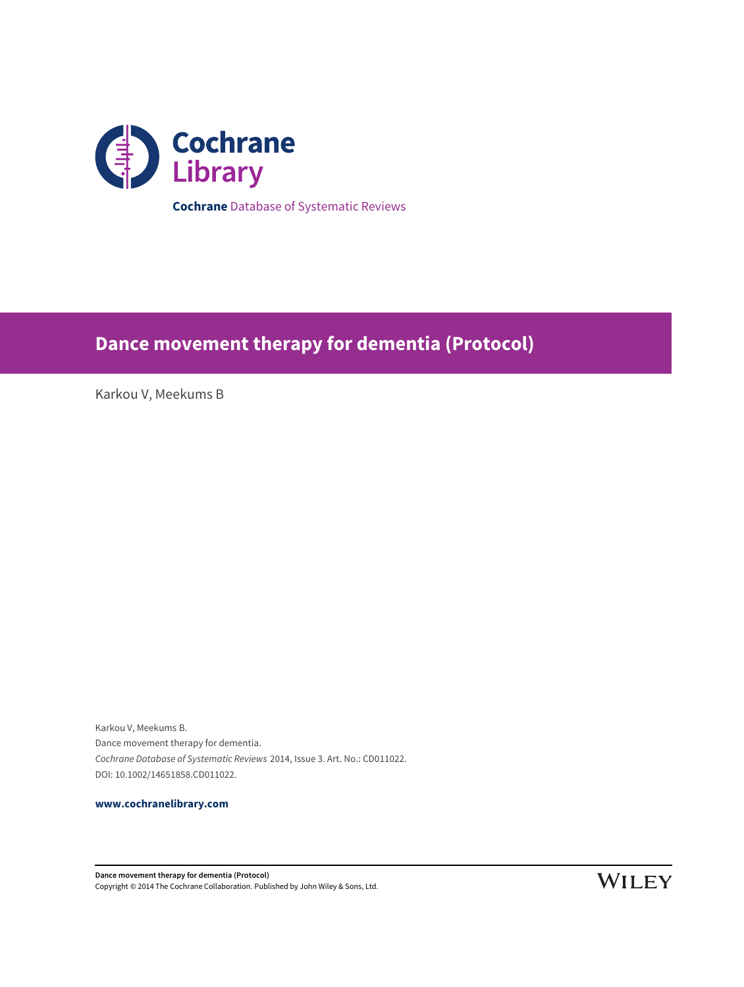

# **Dance movement therapy for dementia (Protocol)**

Karkou V, Meekums B

Karkou V, Meekums B. Dance movement therapy for dementia. Cochrane Database of Systematic Reviews 2014, Issue 3. Art. No.: CD011022. DOI: 10.1002/14651858.CD011022.

**[www.cochranelibrary.com](http://www.cochranelibrary.com)**

**Dance movement therapy for dementia (Protocol)** Copyright © 2014 The Cochrane Collaboration. Published by John Wiley & Sons, Ltd.

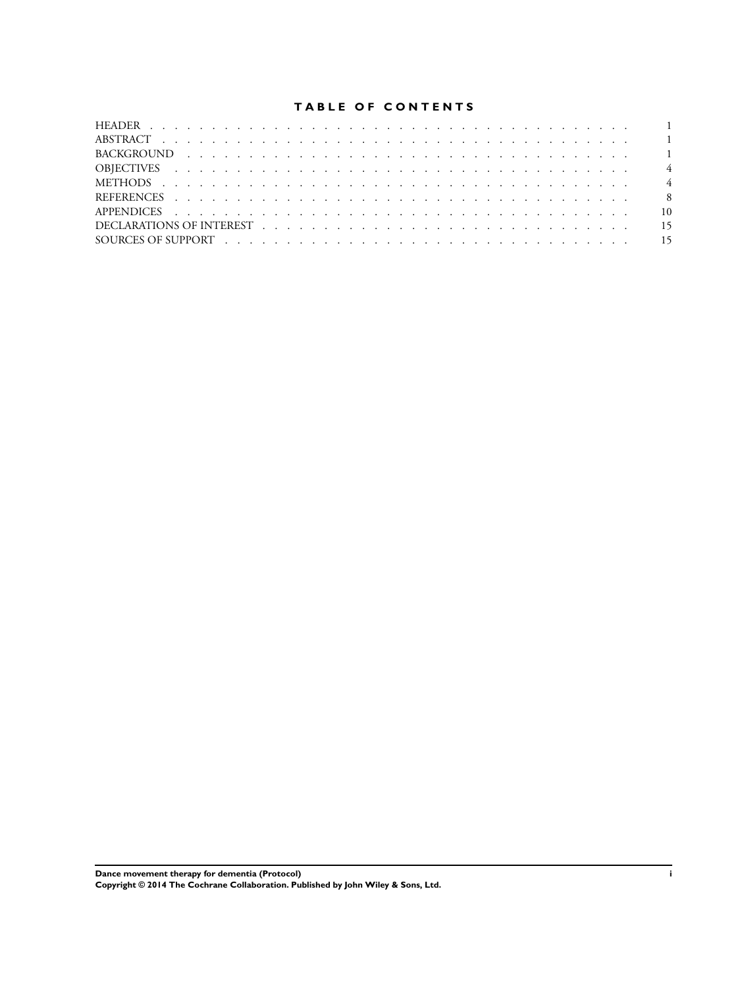## **TABLE OF CONTENTS**

| DECLARATIONS OF INTEREST residences in the contract of the state of the state of the state of the state of the |  |  |  |  |  |  |  |  |  |  |  |  |  |  |  |  |  |  |  |
|----------------------------------------------------------------------------------------------------------------|--|--|--|--|--|--|--|--|--|--|--|--|--|--|--|--|--|--|--|
|                                                                                                                |  |  |  |  |  |  |  |  |  |  |  |  |  |  |  |  |  |  |  |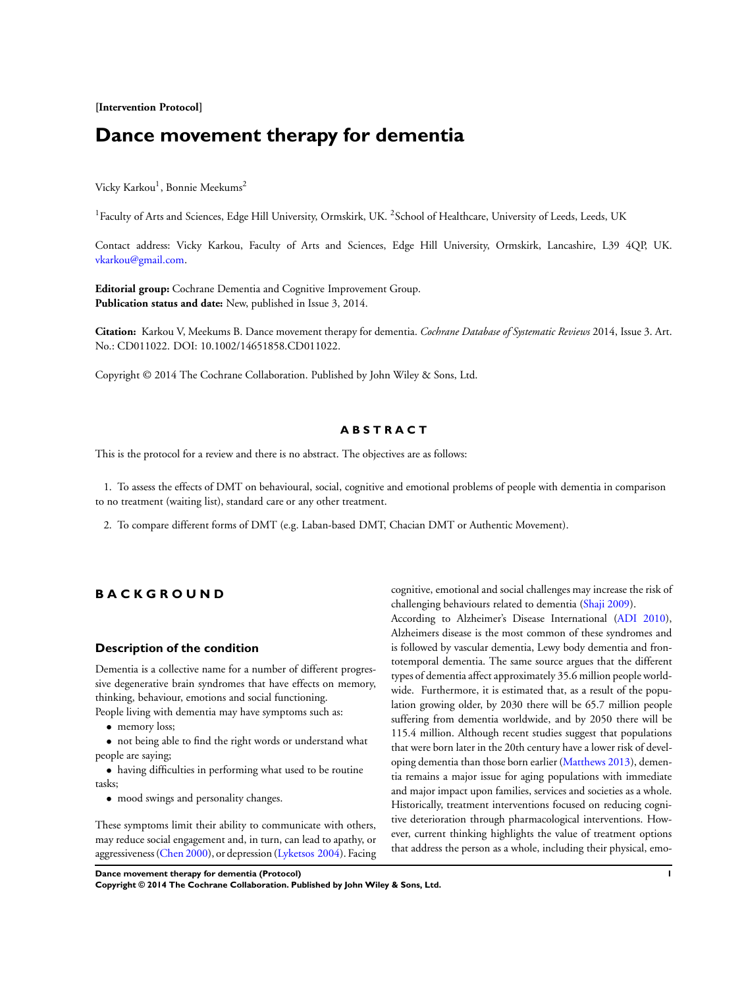<span id="page-2-0"></span>**[Intervention Protocol]**

## **Dance movement therapy for dementia**

Vicky Karkou<sup>1</sup>, Bonnie Meekums<sup>2</sup>

<sup>1</sup> Faculty of Arts and Sciences, Edge Hill University, Ormskirk, UK. <sup>2</sup> School of Healthcare, University of Leeds, Leeds, UK

Contact address: Vicky Karkou, Faculty of Arts and Sciences, Edge Hill University, Ormskirk, Lancashire, L39 4QP, UK. [vkarkou@gmail.com.](mailto:vkarkou@gmail.com)

**Editorial group:** Cochrane Dementia and Cognitive Improvement Group. **Publication status and date:** New, published in Issue 3, 2014.

**Citation:** Karkou V, Meekums B. Dance movement therapy for dementia. *Cochrane Database of Systematic Reviews* 2014, Issue 3. Art. No.: CD011022. DOI: 10.1002/14651858.CD011022.

Copyright © 2014 The Cochrane Collaboration. Published by John Wiley & Sons, Ltd.

## **A B S T R A C T**

This is the protocol for a review and there is no abstract. The objectives are as follows:

1. To assess the effects of DMT on behavioural, social, cognitive and emotional problems of people with dementia in comparison to no treatment (waiting list), standard care or any other treatment.

2. To compare different forms of DMT (e.g. Laban-based DMT, Chacian DMT or Authentic Movement).

## **B A C K G R O U N D**

#### **Description of the condition**

Dementia is a collective name for a number of different progressive degenerative brain syndromes that have effects on memory, thinking, behaviour, emotions and social functioning.

People living with dementia may have symptoms such as:

• memory loss;

• not being able to find the right words or understand what people are saying;

• having difficulties in performing what used to be routine tasks;

• mood swings and personality changes.

These symptoms limit their ability to communicate with others, may reduce social engagement and, in turn, can lead to apathy, or aggressiveness ([Chen 2000\)](#page-9-0), or depression [\(Lyketsos 2004](http://onlinelibrary.wiley.com/doi/10.1002/14651858.CD010515/full#CD010515-bbs2-0029)). Facing

cognitive, emotional and social challenges may increase the risk of challenging behaviours related to dementia [\(Shaji 2009](#page-9-0)).

According to Alzheimer's Disease International [\(ADI 2010](#page-9-0)), Alzheimers disease is the most common of these syndromes and is followed by vascular dementia, Lewy body dementia and frontotemporal dementia. The same source argues that the different types of dementia affect approximately 35.6 million people worldwide. Furthermore, it is estimated that, as a result of the population growing older, by 2030 there will be 65.7 million people suffering from dementia worldwide, and by 2050 there will be 115.4 million. Although recent studies suggest that populations that were born later in the 20th century have a lower risk of developing dementia than those born earlier ([Matthews 2013\)](#page-9-0), dementia remains a major issue for aging populations with immediate and major impact upon families, services and societies as a whole. Historically, treatment interventions focused on reducing cognitive deterioration through pharmacological interventions. However, current thinking highlights the value of treatment options that address the person as a whole, including their physical, emo-

**Dance movement therapy for dementia (Protocol) 1**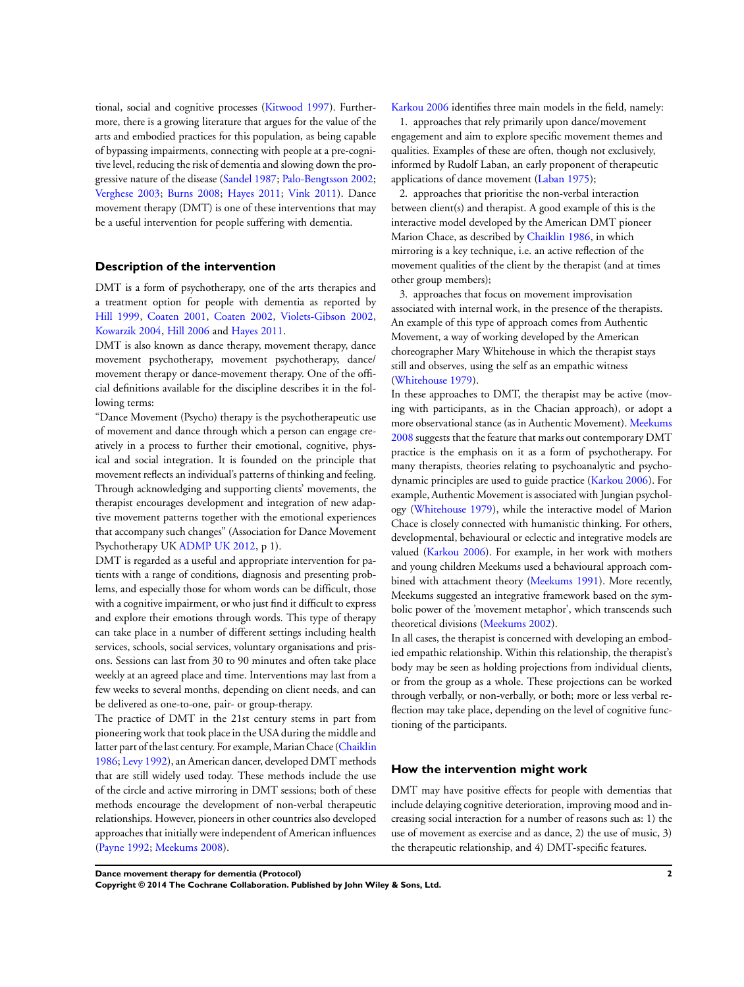tional, social and cognitive processes [\(Kitwood 1997\)](#page-9-0). Furthermore, there is a growing literature that argues for the value of the arts and embodied practices for this population, as being capable of bypassing impairments, connecting with people at a pre-cognitive level, reducing the risk of dementia and slowing down the progressive nature of the disease ([Sandel 1987;](#page-9-0) [Palo-Bengtsson 2002;](#page-9-0) [Verghese 2003](#page-9-0); [Burns 2008](#page-9-0); [Hayes 2011](#page-9-0); [Vink 2011](#page-9-0)). Dance movement therapy (DMT) is one of these interventions that may be a useful intervention for people suffering with dementia.

### **Description of the intervention**

DMT is a form of psychotherapy, one of the arts therapies and a treatment option for people with dementia as reported by [Hill 1999,](#page-9-0) [Coaten 2001](#page-9-0), [Coaten 2002,](#page-9-0) [Violets-Gibson 2002,](#page-9-0) [Kowarzik 2004](#page-9-0), [Hill 2006](#page-9-0) and [Hayes 2011.](#page-9-0)

DMT is also known as dance therapy, movement therapy, dance movement psychotherapy, movement psychotherapy, dance/ movement therapy or dance-movement therapy. One of the official definitions available for the discipline describes it in the following terms:

"Dance Movement (Psycho) therapy is the psychotherapeutic use of movement and dance through which a person can engage creatively in a process to further their emotional, cognitive, physical and social integration. It is founded on the principle that movement reflects an individual's patterns of thinking and feeling. Through acknowledging and supporting clients' movements, the therapist encourages development and integration of new adaptive movement patterns together with the emotional experiences that accompany such changes" (Association for Dance Movement Psychotherapy UK [ADMP UK 2012,](#page-9-0) p 1).

DMT is regarded as a useful and appropriate intervention for patients with a range of conditions, diagnosis and presenting problems, and especially those for whom words can be difficult, those with a cognitive impairment, or who just find it difficult to express and explore their emotions through words. This type of therapy can take place in a number of different settings including health services, schools, social services, voluntary organisations and prisons. Sessions can last from 30 to 90 minutes and often take place weekly at an agreed place and time. Interventions may last from a few weeks to several months, depending on client needs, and can be delivered as one-to-one, pair- or group-therapy.

The practice of DMT in the 21st century stems in part from pioneering work that took place in the USA during the middle and latter part of the last century. For example, Marian Chace [\(Chaiklin](#page-9-0) [1986](#page-9-0); [Levy 1992](#page-9-0)), an American dancer, developed DMT methods that are still widely used today. These methods include the use of the circle and active mirroring in DMT sessions; both of these methods encourage the development of non-verbal therapeutic relationships. However, pioneers in other countries also developed approaches that initially were independent of American influences [\(Payne 1992;](#page-9-0) [Meekums 2008\)](#page-9-0).

[Karkou 2006](#page-9-0) identifies three main models in the field, namely:

1. approaches that rely primarily upon dance/movement engagement and aim to explore specific movement themes and qualities. Examples of these are often, though not exclusively, informed by Rudolf Laban, an early proponent of therapeutic applications of dance movement ([Laban 1975](#page-9-0));

2. approaches that prioritise the non-verbal interaction between client(s) and therapist. A good example of this is the interactive model developed by the American DMT pioneer Marion Chace, as described by [Chaiklin 1986,](#page-9-0) in which mirroring is a key technique, i.e. an active reflection of the movement qualities of the client by the therapist (and at times other group members);

3. approaches that focus on movement improvisation associated with internal work, in the presence of the therapists. An example of this type of approach comes from Authentic Movement, a way of working developed by the American choreographer Mary Whitehouse in which the therapist stays still and observes, using the self as an empathic witness [\(Whitehouse 1979](#page-9-0)).

In these approaches to DMT, the therapist may be active (moving with participants, as in the Chacian approach), or adopt a more observational stance (as in Authentic Movement). [Meekums](#page-9-0) [2008](#page-9-0) suggests that the feature that marks out contemporary DMT practice is the emphasis on it as a form of psychotherapy. For many therapists, theories relating to psychoanalytic and psychodynamic principles are used to guide practice [\(Karkou 2006](#page-9-0)). For example, Authentic Movement is associated with Jungian psychology [\(Whitehouse 1979](#page-9-0)), while the interactive model of Marion Chace is closely connected with humanistic thinking. For others, developmental, behavioural or eclectic and integrative models are valued ([Karkou 2006\)](#page-9-0). For example, in her work with mothers and young children Meekums used a behavioural approach combined with attachment theory ([Meekums 1991\)](#page-9-0). More recently, Meekums suggested an integrative framework based on the symbolic power of the 'movement metaphor', which transcends such theoretical divisions [\(Meekums 2002](#page-9-0)).

In all cases, the therapist is concerned with developing an embodied empathic relationship. Within this relationship, the therapist's body may be seen as holding projections from individual clients, or from the group as a whole. These projections can be worked through verbally, or non-verbally, or both; more or less verbal reflection may take place, depending on the level of cognitive functioning of the participants.

## **How the intervention might work**

DMT may have positive effects for people with dementias that include delaying cognitive deterioration, improving mood and increasing social interaction for a number of reasons such as: 1) the use of movement as exercise and as dance, 2) the use of music, 3) the therapeutic relationship, and 4) DMT-specific features.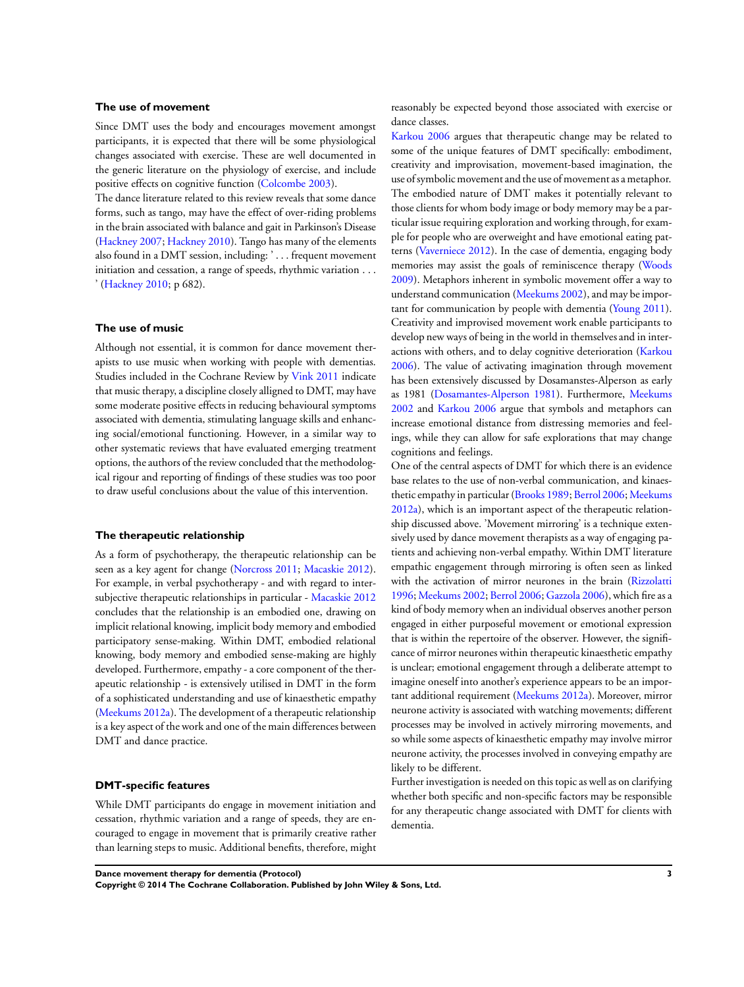#### **The use of movement**

Since DMT uses the body and encourages movement amongst participants, it is expected that there will be some physiological changes associated with exercise. These are well documented in the generic literature on the physiology of exercise, and include positive effects on cognitive function ([Colcombe 2003](#page-9-0)).

The dance literature related to this review reveals that some dance forms, such as tango, may have the effect of over-riding problems in the brain associated with balance and gait in Parkinson's Disease [\(Hackney 2007;](#page-9-0) [Hackney 2010\)](#page-9-0). Tango has many of the elements also found in a DMT session, including: ' . . . frequent movement initiation and cessation, a range of speeds, rhythmic variation . . . ' [\(Hackney 2010;](#page-9-0) p 682).

#### **The use of music**

Although not essential, it is common for dance movement therapists to use music when working with people with dementias. Studies included in the Cochrane Review by [Vink 2011](#page-9-0) indicate that music therapy, a discipline closely alligned to DMT, may have some moderate positive effects in reducing behavioural symptoms associated with dementia, stimulating language skills and enhancing social/emotional functioning. However, in a similar way to other systematic reviews that have evaluated emerging treatment options, the authors of the review concluded that the methodological rigour and reporting of findings of these studies was too poor to draw useful conclusions about the value of this intervention.

#### **The therapeutic relationship**

As a form of psychotherapy, the therapeutic relationship can be seen as a key agent for change [\(Norcross 2011](#page-9-0); [Macaskie 2012](#page-9-0)). For example, in verbal psychotherapy - and with regard to intersubjective therapeutic relationships in particular - [Macaskie 2012](#page-9-0) concludes that the relationship is an embodied one, drawing on implicit relational knowing, implicit body memory and embodied participatory sense-making. Within DMT, embodied relational knowing, body memory and embodied sense-making are highly developed. Furthermore, empathy - a core component of the therapeutic relationship - is extensively utilised in DMT in the form of a sophisticated understanding and use of kinaesthetic empathy [\(Meekums 2012a](#page-9-0)). The development of a therapeutic relationship is a key aspect of the work and one of the main differences between DMT and dance practice.

#### **DMT-specific features**

While DMT participants do engage in movement initiation and cessation, rhythmic variation and a range of speeds, they are encouraged to engage in movement that is primarily creative rather than learning steps to music. Additional benefits, therefore, might reasonably be expected beyond those associated with exercise or dance classes.

[Karkou 2006](#page-9-0) argues that therapeutic change may be related to some of the unique features of DMT specifically: embodiment, creativity and improvisation, movement-based imagination, the use of symbolic movement and the use of movement as a metaphor. The embodied nature of DMT makes it potentially relevant to those clients for whom body image or body memory may be a particular issue requiring exploration and working through, for example for people who are overweight and have emotional eating patterns ([Vaverniece 2012](#page-9-0)). In the case of dementia, engaging body memories may assist the goals of reminiscence therapy [\(Woods](#page-9-0) [2009](#page-9-0)). Metaphors inherent in symbolic movement offer a way to understand communication [\(Meekums 2002](#page-9-0)), and may be important for communication by people with dementia ([Young 2011](#page-9-0)). Creativity and improvised movement work enable participants to develop new ways of being in the world in themselves and in interactions with others, and to delay cognitive deterioration [\(Karkou](#page-9-0) [2006](#page-9-0)). The value of activating imagination through movement has been extensively discussed by Dosamanstes-Alperson as early as 1981 ([Dosamantes-Alperson 1981\)](#page-9-0). Furthermore, [Meekums](#page-9-0) [2002](#page-9-0) and [Karkou 2006](#page-9-0) argue that symbols and metaphors can increase emotional distance from distressing memories and feelings, while they can allow for safe explorations that may change cognitions and feelings.

One of the central aspects of DMT for which there is an evidence base relates to the use of non-verbal communication, and kinaesthetic empathy in particular [\(Brooks 1989;](#page-9-0) [Berrol 2006](#page-9-0); [Meekums](#page-9-0) [2012a\)](#page-9-0), which is an important aspect of the therapeutic relationship discussed above. 'Movement mirroring' is a technique extensively used by dance movement therapists as a way of engaging patients and achieving non-verbal empathy. Within DMT literature empathic engagement through mirroring is often seen as linked with the activation of mirror neurones in the brain [\(Rizzolatti](#page-9-0) [1996](#page-9-0); [Meekums 2002;](#page-9-0) [Berrol 2006;](#page-9-0) [Gazzola 2006](#page-9-0)), which fire as a kind of body memory when an individual observes another person engaged in either purposeful movement or emotional expression that is within the repertoire of the observer. However, the significance of mirror neurones within therapeutic kinaesthetic empathy is unclear; emotional engagement through a deliberate attempt to imagine oneself into another's experience appears to be an important additional requirement ([Meekums 2012a](#page-9-0)). Moreover, mirror neurone activity is associated with watching movements; different processes may be involved in actively mirroring movements, and so while some aspects of kinaesthetic empathy may involve mirror neurone activity, the processes involved in conveying empathy are likely to be different.

Further investigation is needed on this topic as well as on clarifying whether both specific and non-specific factors may be responsible for any therapeutic change associated with DMT for clients with dementia.

**Dance movement therapy for dementia (Protocol) 3**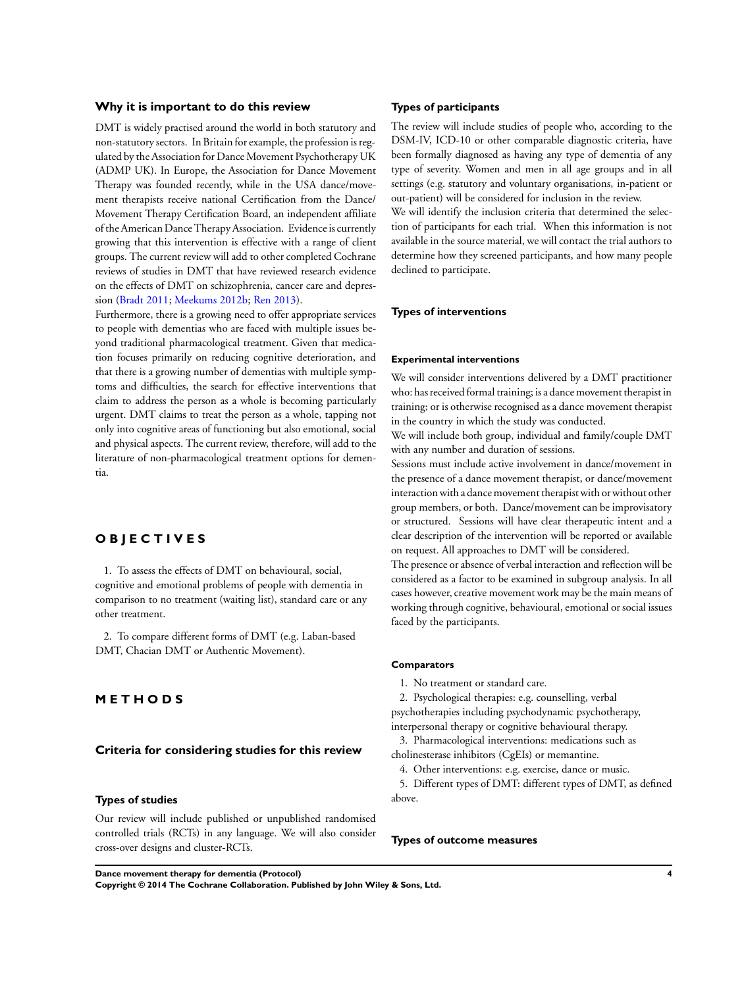### **Why it is important to do this review**

DMT is widely practised around the world in both statutory and non-statutory sectors. In Britain for example, the profession is regulated by the Association for Dance Movement Psychotherapy UK (ADMP UK). In Europe, the Association for Dance Movement Therapy was founded recently, while in the USA dance/movement therapists receive national Certification from the Dance/ Movement Therapy Certification Board, an independent affiliate of the American Dance Therapy Association. Evidence is currently growing that this intervention is effective with a range of client groups. The current review will add to other completed Cochrane reviews of studies in DMT that have reviewed research evidence on the effects of DMT on schizophrenia, cancer care and depression ([Bradt 2011](#page-9-0); [Meekums 2012b;](#page-9-0) [Ren 2013](#page-9-0)).

Furthermore, there is a growing need to offer appropriate services to people with dementias who are faced with multiple issues beyond traditional pharmacological treatment. Given that medication focuses primarily on reducing cognitive deterioration, and that there is a growing number of dementias with multiple symptoms and difficulties, the search for effective interventions that claim to address the person as a whole is becoming particularly urgent. DMT claims to treat the person as a whole, tapping not only into cognitive areas of functioning but also emotional, social and physical aspects. The current review, therefore, will add to the literature of non-pharmacological treatment options for dementia.

## **O B J E C T I V E S**

1. To assess the effects of DMT on behavioural, social, cognitive and emotional problems of people with dementia in comparison to no treatment (waiting list), standard care or any other treatment.

2. To compare different forms of DMT (e.g. Laban-based DMT, Chacian DMT or Authentic Movement).

## **M E T H O D S**

### **Criteria for considering studies for this review**

### **Types of studies**

Our review will include published or unpublished randomised controlled trials (RCTs) in any language. We will also consider cross-over designs and cluster-RCTs.

#### **Types of participants**

The review will include studies of people who, according to the DSM-IV, ICD-10 or other comparable diagnostic criteria, have been formally diagnosed as having any type of dementia of any type of severity. Women and men in all age groups and in all settings (e.g. statutory and voluntary organisations, in-patient or out-patient) will be considered for inclusion in the review.

We will identify the inclusion criteria that determined the selection of participants for each trial. When this information is not available in the source material, we will contact the trial authors to determine how they screened participants, and how many people declined to participate.

## **Types of interventions**

#### **Experimental interventions**

We will consider interventions delivered by a DMT practitioner who: has received formal training; is a dance movement therapist in training; or is otherwise recognised as a dance movement therapist in the country in which the study was conducted.

We will include both group, individual and family/couple DMT with any number and duration of sessions.

Sessions must include active involvement in dance/movement in the presence of a dance movement therapist, or dance/movement interaction with a dance movement therapist with or without other group members, or both. Dance/movement can be improvisatory or structured. Sessions will have clear therapeutic intent and a clear description of the intervention will be reported or available on request. All approaches to DMT will be considered.

The presence or absence of verbal interaction and reflection will be considered as a factor to be examined in subgroup analysis. In all cases however, creative movement work may be the main means of working through cognitive, behavioural, emotional or social issues faced by the participants.

#### **Comparators**

1. No treatment or standard care.

2. Psychological therapies: e.g. counselling, verbal psychotherapies including psychodynamic psychotherapy, interpersonal therapy or cognitive behavioural therapy.

3. Pharmacological interventions: medications such as

cholinesterase inhibitors (CgEIs) or memantine.

4. Other interventions: e.g. exercise, dance or music.

5. Different types of DMT: different types of DMT, as defined above.

#### **Types of outcome measures**

**Dance movement therapy for dementia (Protocol) 4**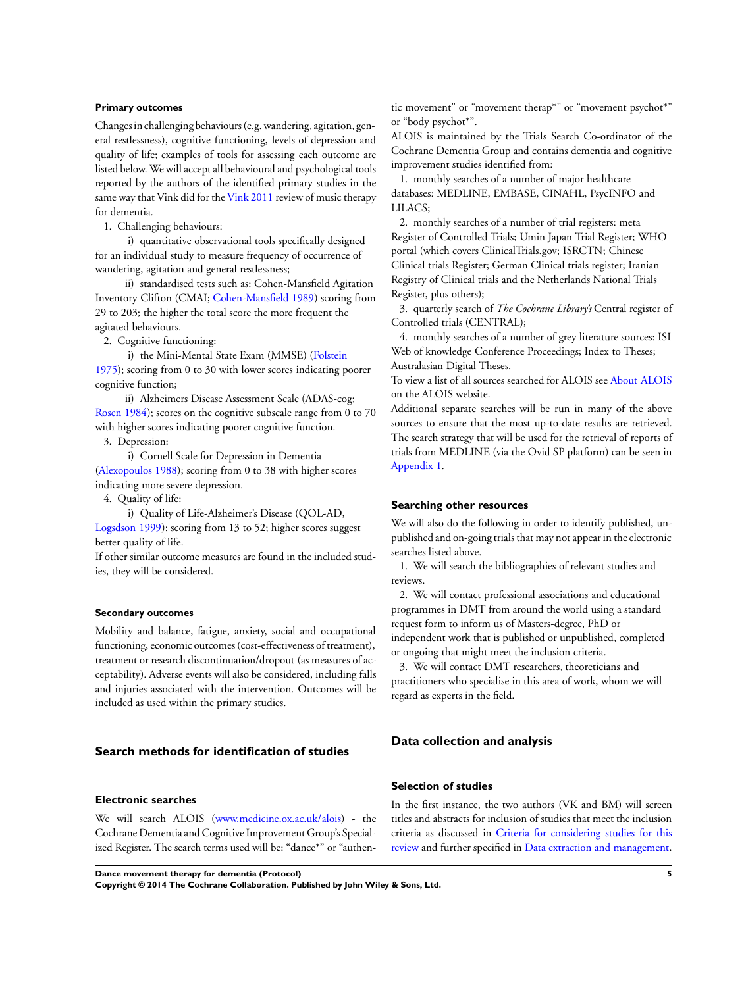#### **Primary outcomes**

Changes in challenging behaviours (e.g. wandering, agitation, general restlessness), cognitive functioning, levels of depression and quality of life; examples of tools for assessing each outcome are listed below. We will accept all behavioural and psychological tools reported by the authors of the identified primary studies in the same way that Vink did for the [Vink 2011](#page-9-0) review of music therapy for dementia.

1. Challenging behaviours:

i) quantitative observational tools specifically designed for an individual study to measure frequency of occurrence of wandering, agitation and general restlessness;

ii) standardised tests such as: Cohen-Mansfield Agitation Inventory Clifton (CMAI; [Cohen-Mansfield 1989\)](#page-9-0) scoring from 29 to 203; the higher the total score the more frequent the agitated behaviours.

2. Cognitive functioning:

i) the Mini-Mental State Exam (MMSE) ([Folstein](#page-9-0)

[1975](#page-9-0)); scoring from 0 to 30 with lower scores indicating poorer cognitive function;

ii) Alzheimers Disease Assessment Scale (ADAS-cog; [Rosen 1984\)](#page-9-0); scores on the cognitive subscale range from 0 to 70 with higher scores indicating poorer cognitive function.

3. Depression:

i) Cornell Scale for Depression in Dementia [\(Alexopoulos 1988\)](#page-9-0); scoring from 0 to 38 with higher scores indicating more severe depression.

4. Quality of life:

i) Quality of Life-Alzheimer's Disease (QOL-AD,

[Logsdson 1999](#page-9-0)): scoring from 13 to 52; higher scores suggest better quality of life.

If other similar outcome measures are found in the included studies, they will be considered.

#### **Secondary outcomes**

Mobility and balance, fatigue, anxiety, social and occupational functioning, economic outcomes (cost-effectiveness of treatment), treatment or research discontinuation/dropout (as measures of acceptability). Adverse events will also be considered, including falls and injuries associated with the intervention. Outcomes will be included as used within the primary studies.

## **Search methods for identification of studies**

#### **Electronic searches**

We will search ALOIS [\(www.medicine.ox.ac.uk/alois](http://www.medicine.ox.ac.uk/alois)) - the Cochrane Dementia and Cognitive Improvement Group's Specialized Register. The search terms used will be: "dance\*" or "authen-

**Dance movement therapy for dementia (Protocol) 5**

**Copyright © 2014 The Cochrane Collaboration. Published by John Wiley & Sons, Ltd.**

tic movement" or "movement therap\*" or "movement psychot\*" or "body psychot\*".

ALOIS is maintained by the Trials Search Co-ordinator of the Cochrane Dementia Group and contains dementia and cognitive improvement studies identified from:

1. monthly searches of a number of major healthcare databases: MEDLINE, EMBASE, CINAHL, PsycINFO and LILACS;

2. monthly searches of a number of trial registers: meta Register of Controlled Trials; Umin Japan Trial Register; WHO portal (which covers ClinicalTrials.gov; ISRCTN; Chinese Clinical trials Register; German Clinical trials register; Iranian Registry of Clinical trials and the Netherlands National Trials Register, plus others);

3. quarterly search of *The Cochrane Library's* Central register of Controlled trials (CENTRAL);

4. monthly searches of a number of grey literature sources: ISI Web of knowledge Conference Proceedings; Index to Theses; Australasian Digital Theses.

To view a list of all sources searched for ALOIS see [About ALOIS](http://www.medicine.ox.ac.uk/alois/content/about-alois) on the ALOIS website.

Additional separate searches will be run in many of the above sources to ensure that the most up-to-date results are retrieved. The search strategy that will be used for the retrieval of reports of trials from MEDLINE (via the Ovid SP platform) can be seen in [Appendix 1.](#page-11-0)

#### **Searching other resources**

We will also do the following in order to identify published, unpublished and on-going trials that may not appear in the electronic searches listed above.

1. We will search the bibliographies of relevant studies and reviews.

2. We will contact professional associations and educational programmes in DMT from around the world using a standard request form to inform us of Masters-degree, PhD or independent work that is published or unpublished, completed or ongoing that might meet the inclusion criteria.

3. We will contact DMT researchers, theoreticians and practitioners who specialise in this area of work, whom we will regard as experts in the field.

## **Data collection and analysis**

#### **Selection of studies**

In the first instance, the two authors (VK and BM) will screen titles and abstracts for inclusion of studies that meet the inclusion criteria as discussed in [Criteria for considering studies for this](#page-2-0) [review](#page-2-0) and further specified in [Data extraction and management.](#page-2-0)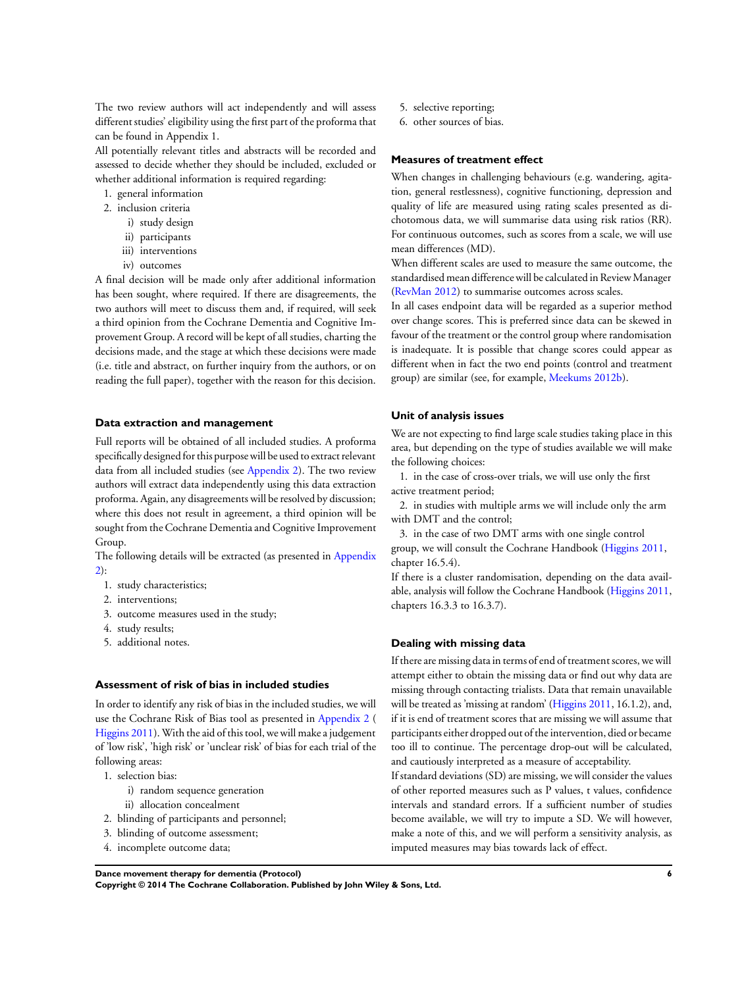The two review authors will act independently and will assess different studies' eligibility using the first part of the proforma that can be found in Appendix 1.

All potentially relevant titles and abstracts will be recorded and assessed to decide whether they should be included, excluded or whether additional information is required regarding:

- 1. general information
- 2. inclusion criteria
	- i) study design
	- ii) participants
	- iii) interventions
	- iv) outcomes

A final decision will be made only after additional information has been sought, where required. If there are disagreements, the two authors will meet to discuss them and, if required, will seek a third opinion from the Cochrane Dementia and Cognitive Improvement Group. A record will be kept of all studies, charting the decisions made, and the stage at which these decisions were made (i.e. title and abstract, on further inquiry from the authors, or on reading the full paper), together with the reason for this decision.

#### **Data extraction and management**

Full reports will be obtained of all included studies. A proforma specifically designed for this purpose will be used to extract relevant data from all included studies (see [Appendix 2\)](#page-12-0). The two review authors will extract data independently using this data extraction proforma. Again, any disagreements will be resolved by discussion; where this does not result in agreement, a third opinion will be sought from the Cochrane Dementia and Cognitive Improvement Group.

The following details will be extracted (as presented in [Appendix](#page-12-0) [2\)](#page-12-0):

- 1. study characteristics;
- 2. interventions;
- 3. outcome measures used in the study;
- 4. study results;
- 5. additional notes.

## **Assessment of risk of bias in included studies**

In order to identify any risk of bias in the included studies, we will use the Cochrane Risk of Bias tool as presented in [Appendix 2](#page-12-0) ( [Higgins 2011](#page-9-0)). With the aid of this tool, we will make a judgement of 'low risk', 'high risk' or 'unclear risk' of bias for each trial of the following areas:

- 1. selection bias:
	- i) random sequence generation
	- ii) allocation concealment
- 2. blinding of participants and personnel;
- 3. blinding of outcome assessment;
- 4. incomplete outcome data;
- 5. selective reporting;
- 6. other sources of bias.

## **Measures of treatment effect**

When changes in challenging behaviours (e.g. wandering, agitation, general restlessness), cognitive functioning, depression and quality of life are measured using rating scales presented as dichotomous data, we will summarise data using risk ratios (RR). For continuous outcomes, such as scores from a scale, we will use mean differences (MD).

When different scales are used to measure the same outcome, the standardised mean difference will be calculated in Review Manager [\(RevMan 2012\)](#page-9-0) to summarise outcomes across scales.

In all cases endpoint data will be regarded as a superior method over change scores. This is preferred since data can be skewed in favour of the treatment or the control group where randomisation is inadequate. It is possible that change scores could appear as different when in fact the two end points (control and treatment group) are similar (see, for example, [Meekums 2012b](#page-9-0)).

## **Unit of analysis issues**

We are not expecting to find large scale studies taking place in this area, but depending on the type of studies available we will make the following choices:

1. in the case of cross-over trials, we will use only the first active treatment period;

2. in studies with multiple arms we will include only the arm with DMT and the control;

3. in the case of two DMT arms with one single control group, we will consult the Cochrane Handbook [\(Higgins 2011,](#page-9-0) chapter 16.5.4).

If there is a cluster randomisation, depending on the data available, analysis will follow the Cochrane Handbook ([Higgins 2011,](#page-9-0) chapters 16.3.3 to 16.3.7).

## **Dealing with missing data**

If there are missing data in terms of end of treatment scores, we will attempt either to obtain the missing data or find out why data are missing through contacting trialists. Data that remain unavailable will be treated as 'missing at random' [\(Higgins 2011,](#page-9-0) 16.1.2), and, if it is end of treatment scores that are missing we will assume that participants either dropped out of the intervention, died or became too ill to continue. The percentage drop-out will be calculated, and cautiously interpreted as a measure of acceptability.

If standard deviations (SD) are missing, we will consider the values of other reported measures such as P values, t values, confidence intervals and standard errors. If a sufficient number of studies become available, we will try to impute a SD. We will however, make a note of this, and we will perform a sensitivity analysis, as imputed measures may bias towards lack of effect.

**Dance movement therapy for dementia (Protocol) 6**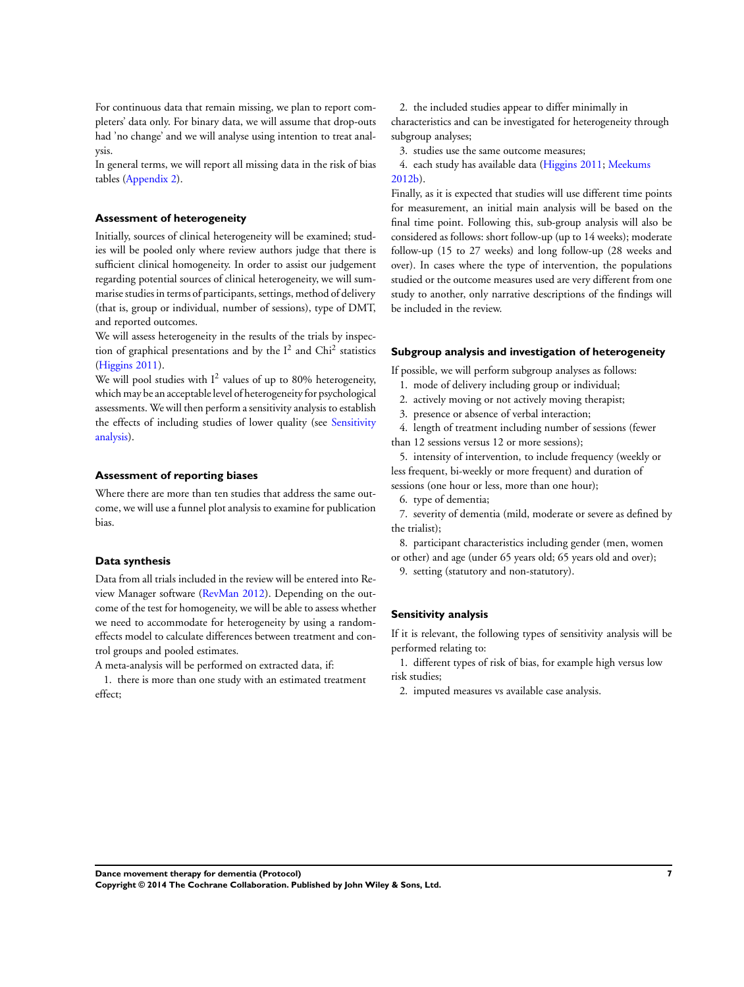For continuous data that remain missing, we plan to report completers' data only. For binary data, we will assume that drop-outs had 'no change' and we will analyse using intention to treat analysis.

In general terms, we will report all missing data in the risk of bias tables ([Appendix 2](#page-12-0)).

## **Assessment of heterogeneity**

Initially, sources of clinical heterogeneity will be examined; studies will be pooled only where review authors judge that there is sufficient clinical homogeneity. In order to assist our judgement regarding potential sources of clinical heterogeneity, we will summarise studies in terms of participants, settings, method of delivery (that is, group or individual, number of sessions), type of DMT, and reported outcomes.

We will assess heterogeneity in the results of the trials by inspection of graphical presentations and by the  $I^2$  and  $Chi^2$  statistics [\(Higgins 2011\)](#page-9-0).

We will pool studies with  $I^2$  values of up to 80% heterogeneity, which may be an acceptable level of heterogeneity for psychological assessments. We will then perform a sensitivity analysis to establish the effects of including studies of lower quality (see [Sensitivity](#page-2-0) [analysis](#page-2-0)).

#### **Assessment of reporting biases**

Where there are more than ten studies that address the same outcome, we will use a funnel plot analysis to examine for publication bias.

#### **Data synthesis**

Data from all trials included in the review will be entered into Review Manager software ([RevMan 2012](#page-9-0)). Depending on the outcome of the test for homogeneity, we will be able to assess whether we need to accommodate for heterogeneity by using a randomeffects model to calculate differences between treatment and control groups and pooled estimates.

A meta-analysis will be performed on extracted data, if:

1. there is more than one study with an estimated treatment effect;

2. the included studies appear to differ minimally in characteristics and can be investigated for heterogeneity through subgroup analyses;

3. studies use the same outcome measures;

4. each study has available data ([Higgins 2011;](#page-9-0) [Meekums](#page-9-0) [2012b\)](#page-9-0).

Finally, as it is expected that studies will use different time points for measurement, an initial main analysis will be based on the final time point. Following this, sub-group analysis will also be considered as follows: short follow-up (up to 14 weeks); moderate follow-up (15 to 27 weeks) and long follow-up (28 weeks and over). In cases where the type of intervention, the populations studied or the outcome measures used are very different from one study to another, only narrative descriptions of the findings will be included in the review.

#### **Subgroup analysis and investigation of heterogeneity**

If possible, we will perform subgroup analyses as follows:

1. mode of delivery including group or individual;

- 2. actively moving or not actively moving therapist;
- 3. presence or absence of verbal interaction;

4. length of treatment including number of sessions (fewer than 12 sessions versus 12 or more sessions);

5. intensity of intervention, to include frequency (weekly or less frequent, bi-weekly or more frequent) and duration of sessions (one hour or less, more than one hour);

- 6. type of dementia;
- 

7. severity of dementia (mild, moderate or severe as defined by the trialist);

8. participant characteristics including gender (men, women or other) and age (under 65 years old; 65 years old and over);

9. setting (statutory and non-statutory).

## **Sensitivity analysis**

If it is relevant, the following types of sensitivity analysis will be performed relating to:

1. different types of risk of bias, for example high versus low risk studies;

2. imputed measures vs available case analysis.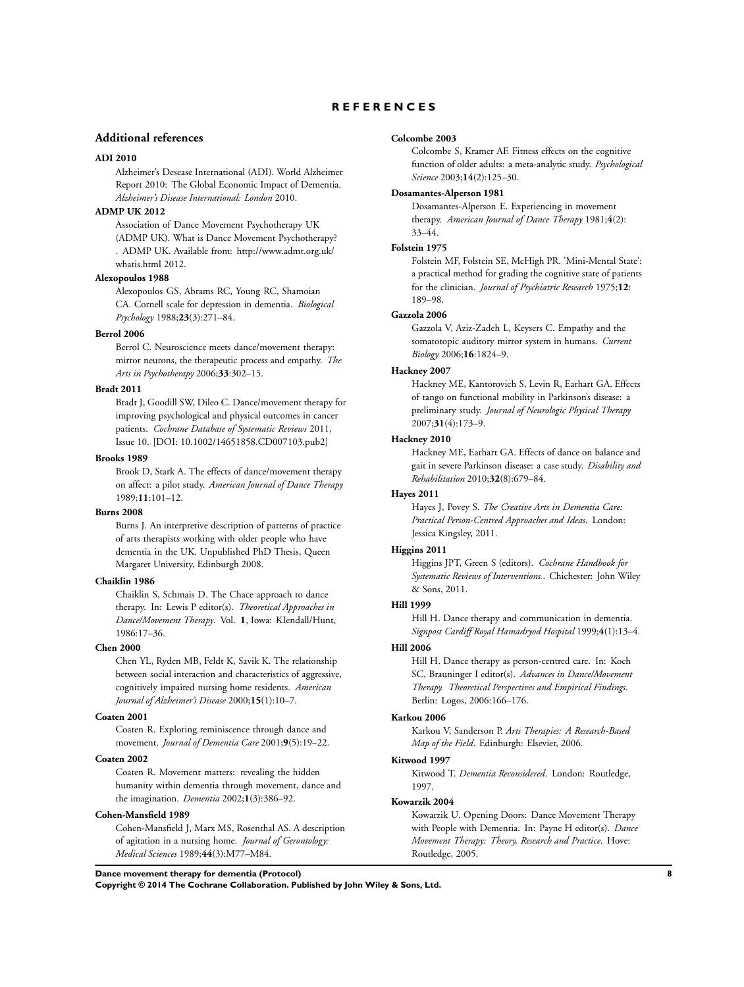## **R E F E R E N C E S**

## <span id="page-9-0"></span>**Additional references**

### **ADI 2010**

Alzheimer's Desease International (ADI). World Alzheimer Report 2010: The Global Economic Impact of Dementia. *Alzheimer's Disease International: London* 2010.

## **ADMP UK 2012**

Association of Dance Movement Psychotherapy UK (ADMP UK). What is Dance Movement Psychotherapy? . ADMP UK. Available from: http://www.admt.org.uk/ whatis.html 2012.

#### **Alexopoulos 1988**

Alexopoulos GS, Abrams RC, Young RC, Shamoian CA. Cornell scale for depression in dementia. *Biological Psychology* 1988;**23**(3):271–84.

#### **Berrol 2006**

Berrol C. Neuroscience meets dance/movement therapy: mirror neurons, the therapeutic process and empathy. *The Arts in Psychotherapy* 2006;**33**:302–15.

#### **Bradt 2011**

Bradt J, Goodill SW, Dileo C. Dance/movement therapy for improving psychological and physical outcomes in cancer patients. *Cochrane Database of Systematic Reviews* 2011, Issue 10. [DOI: 10.1002/14651858.CD007103.pub2]

#### **Brooks 1989**

Brook D, Stark A. The effects of dance/movement therapy on affect: a pilot study. *American Journal of Dance Therapy* 1989;**11**:101–12.

## **Burns 2008**

Burns J. An interpretive description of patterns of practice of arts therapists working with older people who have dementia in the UK. Unpublished PhD Thesis, Queen Margaret University, Edinburgh 2008.

#### **Chaiklin 1986**

Chaiklin S, Schmais D. The Chace approach to dance therapy. In: Lewis P editor(s). *Theoretical Approaches in Dance/Movement Therapy*. Vol. **1**, Iowa: KIendall/Hunt, 1986:17–36.

#### **Chen 2000**

Chen YL, Ryden MB, Feldt K, Savik K. The relationship between social interaction and characteristics of aggressive, cognitively impaired nursing home residents. *American Journal of Alzheimer's Disease* 2000;**15**(1):10–7.

## **Coaten 2001**

Coaten R. Exploring reminiscence through dance and movement. *Journal of Dementia Care* 2001;**9**(5):19–22.

#### **Coaten 2002**

Coaten R. Movement matters: revealing the hidden humanity within dementia through movement, dance and the imagination. *Dementia* 2002;**1**(3):386–92.

#### **Cohen-Mansfield 1989**

Cohen-Mansfield J, Marx MS, Rosenthal AS. A description of agitation in a nursing home. *Journal of Gerontology: Medical Sciences* 1989;**44**(3):M77–M84.

#### **Colcombe 2003**

Colcombe S, Kramer AF. Fitness effects on the cognitive function of older adults: a meta-analytic study. *Psychological Science* 2003;**14**(2):125–30.

#### **Dosamantes-Alperson 1981**

Dosamantes-Alperson E. Experiencing in movement therapy. *American Journal of Dance Therapy* 1981;**4**(2): 33–44.

#### **Folstein 1975**

Folstein MF, Folstein SE, McHigh PR. 'Mini-Mental State': a practical method for grading the cognitive state of patients for the clinician. *Journal of Psychiatric Research* 1975;**12**: 189–98.

#### **Gazzola 2006**

Gazzola V, Aziz-Zadeh L, Keysers C. Empathy and the somatotopic auditory mirror system in humans. *Current Biology* 2006;**16**:1824–9.

#### **Hackney 2007**

Hackney ME, Kantorovich S, Levin R, Earhart GA. Effects of tango on functional mobility in Parkinson's disease: a preliminary study. *Journal of Neurologic Physical Therapy* 2007;**31**(4):173–9.

#### **Hackney 2010**

Hackney ME, Earhart GA. Effects of dance on balance and gait in severe Parkinson disease: a case study. *Disability and Rehabilitation* 2010;**32**(8):679–84.

#### **Hayes 2011**

Hayes J, Povey S. *The Creative Arts in Dementia Care: Practical Person-Centred Approaches and Ideas*. London: Jessica Kingsley, 2011.

#### **Higgins 2011**

Higgins JPT, Green S (editors). *Cochrane Handbook for Systematic Reviews of Interventions.*. Chichester: John Wiley & Sons, 2011.

#### **Hill 1999**

Hill H. Dance therapy and communication in dementia. *Signpost Cardiff Royal Hamadryod Hospital* 1999;**4**(1):13–4.

## **Hill 2006**

Hill H. Dance therapy as person-centred care. In: Koch SC, Brauninger I editor(s). *Advances in Dance/Movement Therapy. Theoretical Perspectives and Empirical Findings*. Berlin: Logos, 2006:166–176.

#### **Karkou 2006**

Karkou V, Sanderson P. *Arts Therapies: A Research-Based Map of the Field*. Edinburgh: Elsevier, 2006.

#### **Kitwood 1997**

Kitwood T. *Dementia Reconsidered*. London: Routledge, 1997.

## **Kowarzik 2004**

Kowarzik U. Opening Doors: Dance Movement Therapy with People with Dementia. In: Payne H editor(s). *Dance Movement Therapy: Theory, Research and Practice*. Hove: Routledge, 2005.

**Dance movement therapy for dementia (Protocol) 8**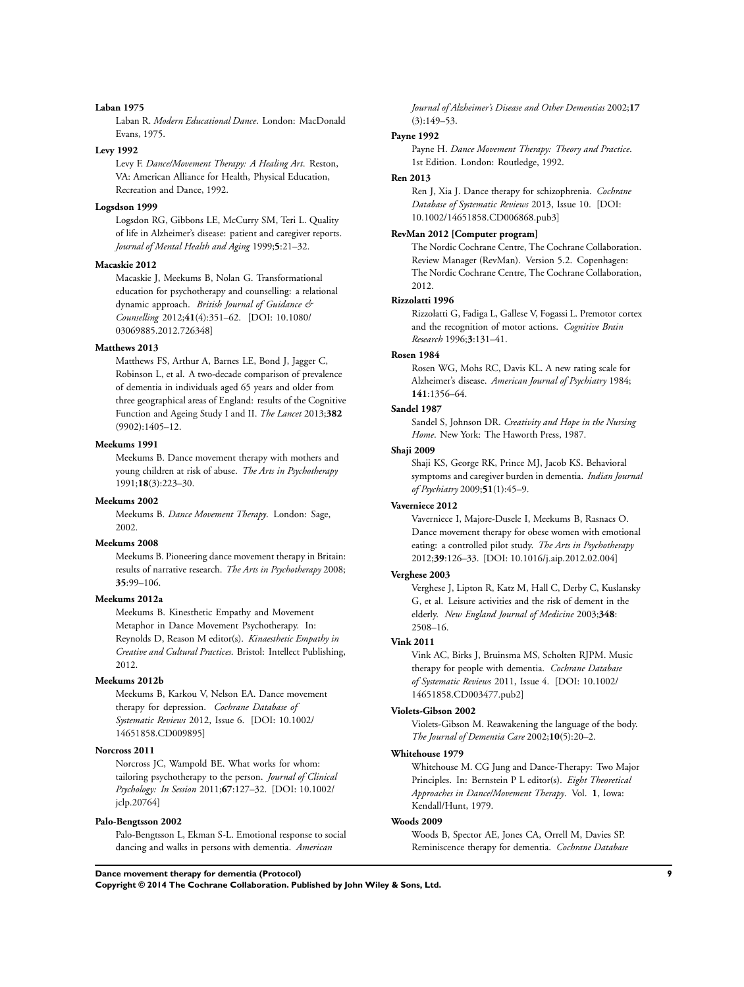#### **Laban 1975**

Laban R. *Modern Educational Dance*. London: MacDonald Evans, 1975.

#### **Levy 1992**

Levy F. *Dance/Movement Therapy: A Healing Art*. Reston, VA: American Alliance for Health, Physical Education, Recreation and Dance, 1992.

## **Logsdson 1999**

Logsdon RG, Gibbons LE, McCurry SM, Teri L. Quality of life in Alzheimer's disease: patient and caregiver reports. *Journal of Mental Health and Aging* 1999;**5**:21–32.

#### **Macaskie 2012**

Macaskie J, Meekums B, Nolan G. Transformational education for psychotherapy and counselling: a relational dynamic approach. *British Journal of Guidance & Counselling* 2012;**41**(4):351–62. [DOI: 10.1080/ 03069885.2012.726348]

#### **Matthews 2013**

Matthews FS, Arthur A, Barnes LE, Bond J, Jagger C, Robinson L, et al. A two-decade comparison of prevalence of dementia in individuals aged 65 years and older from three geographical areas of England: results of the Cognitive Function and Ageing Study I and II. *The Lancet* 2013;**382** (9902):1405–12.

## **Meekums 1991**

Meekums B. Dance movement therapy with mothers and young children at risk of abuse. *The Arts in Psychotherapy* 1991;**18**(3):223–30.

#### **Meekums 2002**

Meekums B. *Dance Movement Therapy*. London: Sage, 2002.

### **Meekums 2008**

Meekums B. Pioneering dance movement therapy in Britain: results of narrative research. *The Arts in Psychotherapy* 2008; **35**:99–106.

## **Meekums 2012a**

Meekums B. Kinesthetic Empathy and Movement Metaphor in Dance Movement Psychotherapy. In: Reynolds D, Reason M editor(s). *Kinaesthetic Empathy in Creative and Cultural Practices*. Bristol: Intellect Publishing, 2012.

#### **Meekums 2012b**

Meekums B, Karkou V, Nelson EA. Dance movement therapy for depression. *Cochrane Database of Systematic Reviews* 2012, Issue 6. [DOI: 10.1002/ 14651858.CD009895]

#### **Norcross 2011**

Norcross JC, Wampold BE. What works for whom: tailoring psychotherapy to the person. *Journal of Clinical Psychology: In Session* 2011;**67**:127–32. [DOI: 10.1002/ jclp.20764]

#### **Palo-Bengtsson 2002**

Palo-Bengtsson L, Ekman S-L. Emotional response to social dancing and walks in persons with dementia. *American*

*Journal of Alzheimer's Disease and Other Dementias* 2002;**17** (3):149–53.

#### **Payne 1992**

Payne H. *Dance Movement Therapy: Theory and Practice*. 1st Edition. London: Routledge, 1992.

#### **Ren 2013**

Ren J, Xia J. Dance therapy for schizophrenia. *Cochrane Database of Systematic Reviews* 2013, Issue 10. [DOI: 10.1002/14651858.CD006868.pub3]

## **RevMan 2012 [Computer program]**

The Nordic Cochrane Centre, The Cochrane Collaboration. Review Manager (RevMan). Version 5.2. Copenhagen: The Nordic Cochrane Centre, The Cochrane Collaboration, 2012.

#### **Rizzolatti 1996**

Rizzolatti G, Fadiga L, Gallese V, Fogassi L. Premotor cortex and the recognition of motor actions. *Cognitive Brain Research* 1996;**3**:131–41.

#### **Rosen 1984**

Rosen WG, Mohs RC, Davis KL. A new rating scale for Alzheimer's disease. *American Journal of Psychiatry* 1984; **141**:1356–64.

## **Sandel 1987**

Sandel S, Johnson DR. *Creativity and Hope in the Nursing Home*. New York: The Haworth Press, 1987.

## **Shaji 2009**

Shaji KS, George RK, Prince MJ, Jacob KS. Behavioral symptoms and caregiver burden in dementia. *Indian Journal of Psychiatry* 2009;**51**(1):45–9.

#### **Vaverniece 2012**

Vaverniece I, Majore-Dusele I, Meekums B, Rasnacs O. Dance movement therapy for obese women with emotional eating: a controlled pilot study. *The Arts in Psychotherapy* 2012;**39**:126–33. [DOI: 10.1016/j.aip.2012.02.004]

#### **Verghese 2003**

Verghese J, Lipton R, Katz M, Hall C, Derby C, Kuslansky G, et al. Leisure activities and the risk of dement in the elderly. *New England Journal of Medicine* 2003;**348**: 2508–16.

## **Vink 2011**

Vink AC, Birks J, Bruinsma MS, Scholten RJPM. Music therapy for people with dementia. *Cochrane Database of Systematic Reviews* 2011, Issue 4. [DOI: 10.1002/ 14651858.CD003477.pub2]

#### **Violets-Gibson 2002**

Violets-Gibson M. Reawakening the language of the body. *The Journal of Dementia Care* 2002;**10**(5):20–2.

### **Whitehouse 1979**

Whitehouse M. CG Jung and Dance-Therapy: Two Major Principles. In: Bernstein P L editor(s). *Eight Theoretical Approaches in Dance/Movement Therapy*. Vol. **1**, Iowa: Kendall/Hunt, 1979.

#### **Woods 2009**

Woods B, Spector AE, Jones CA, Orrell M, Davies SP. Reminiscence therapy for dementia. *Cochrane Database*

**Dance movement therapy for dementia (Protocol) 9**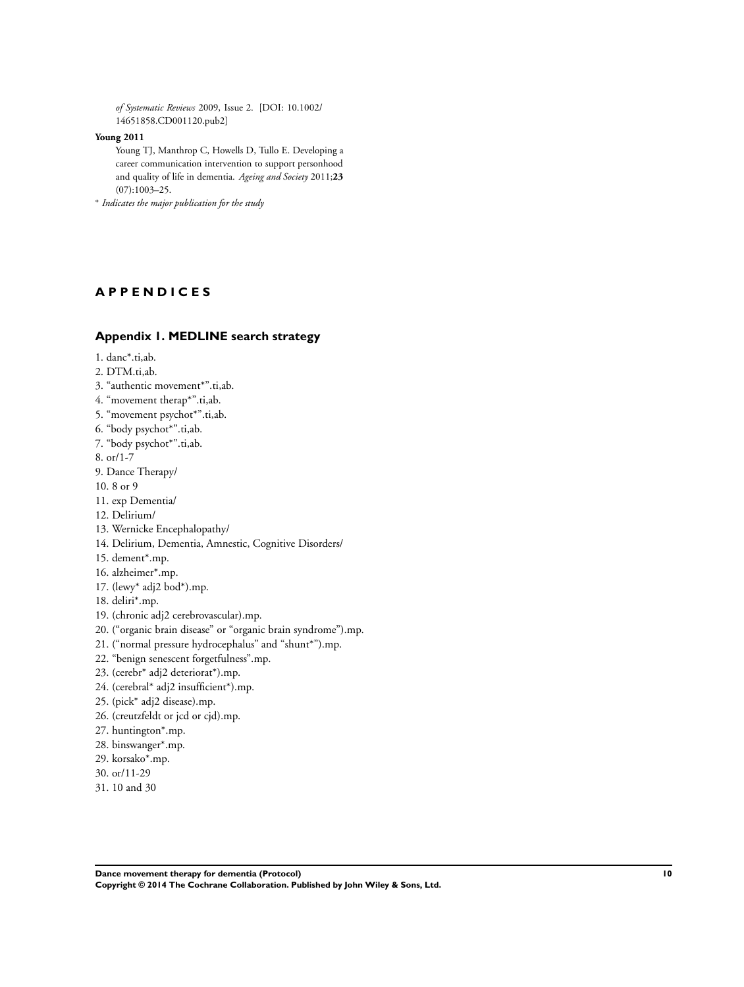<span id="page-11-0"></span>*of Systematic Reviews* 2009, Issue 2. [DOI: 10.1002/ 14651858.CD001120.pub2]

## **Young 2011**

Young TJ, Manthrop C, Howells D, Tullo E. Developing a career communication intervention to support personhood and quality of life in dementia. *Ageing and Society* 2011;**23**  $(07):1003-25.$ 

∗ *Indicates the major publication for the study*

## **A P P E N D I C E S**

## **Appendix 1. MEDLINE search strategy**

1. danc\*.ti,ab.

2. DTM.ti,ab.

3. "authentic movement\*".ti,ab.

4. "movement therap\*".ti,ab.

5. "movement psychot\*".ti,ab.

6. "body psychot\*".ti,ab.

7. "body psychot\*".ti,ab.

8. or/1-7

9. Dance Therapy/

10. 8 or 9

11. exp Dementia/

12. Delirium/

13. Wernicke Encephalopathy/

14. Delirium, Dementia, Amnestic, Cognitive Disorders/

15. dement\*.mp.

16. alzheimer\*.mp.

17. (lewy\* adj2 bod\*).mp.

18. deliri\*.mp.

19. (chronic adj2 cerebrovascular).mp.

20. ("organic brain disease" or "organic brain syndrome").mp.

21. ("normal pressure hydrocephalus" and "shunt\*").mp.

22. "benign senescent forgetfulness".mp.

23. (cerebr\* adj2 deteriorat\*).mp.

24. (cerebral\* adj2 insufficient\*).mp.

25. (pick\* adj2 disease).mp.

26. (creutzfeldt or jcd or cjd).mp.

27. huntington\*.mp.

28. binswanger\*.mp.

29. korsako\*.mp.

30. or/11-29

31. 10 and 30

**Dance movement therapy for dementia (Protocol) 10 Copyright © 2014 The Cochrane Collaboration. Published by John Wiley & Sons, Ltd.**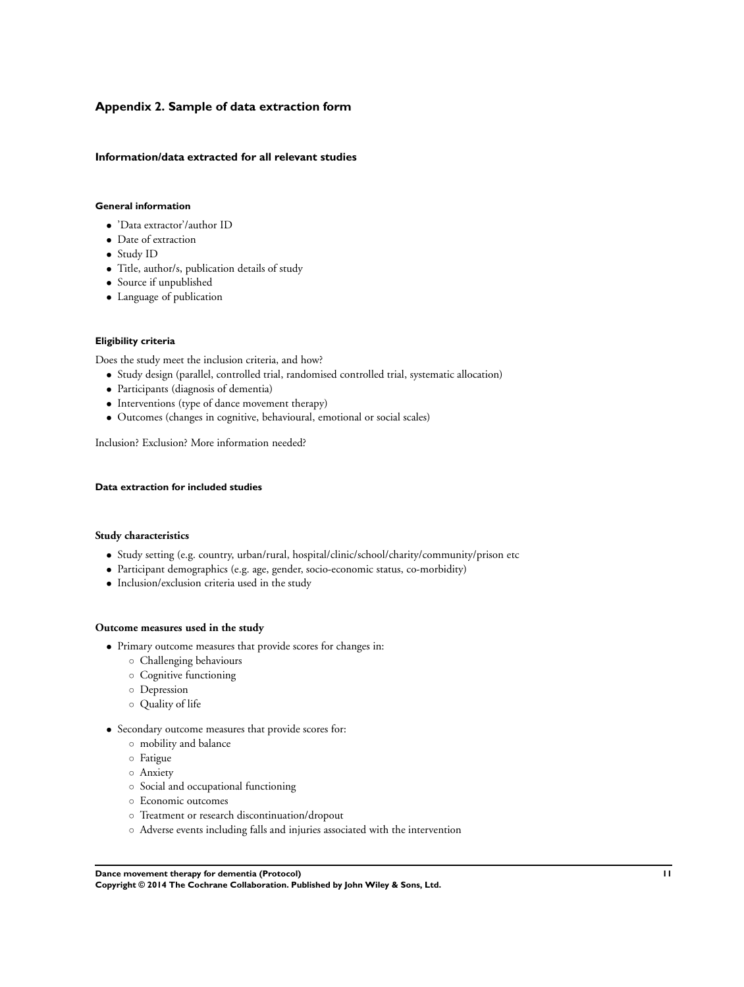## <span id="page-12-0"></span>**Appendix 2. Sample of data extraction form**

## **Information/data extracted for all relevant studies**

## **General information**

- 'Data extractor'/author ID
- Date of extraction
- Study ID
- Title, author/s, publication details of study
- Source if unpublished
- Language of publication

#### **Eligibility criteria**

Does the study meet the inclusion criteria, and how?

- Study design (parallel, controlled trial, randomised controlled trial, systematic allocation)
- Participants (diagnosis of dementia)
- Interventions (type of dance movement therapy)
- Outcomes (changes in cognitive, behavioural, emotional or social scales)

Inclusion? Exclusion? More information needed?

#### **Data extraction for included studies**

#### **Study characteristics**

- Study setting (e.g. country, urban/rural, hospital/clinic/school/charity/community/prison etc
- Participant demographics (e.g. age, gender, socio-economic status, co-morbidity)
- Inclusion/exclusion criteria used in the study

#### **Outcome measures used in the study**

- Primary outcome measures that provide scores for changes in:
	- Challenging behaviours
	- Cognitive functioning
	- Depression
	- Quality of life
- Secondary outcome measures that provide scores for:
	- mobility and balance
	- Fatigue
	- Anxiety
	- Social and occupational functioning
	- Economic outcomes
	- Treatment or research discontinuation/dropout
	- Adverse events including falls and injuries associated with the intervention

**Dance movement therapy for dementia (Protocol) 11**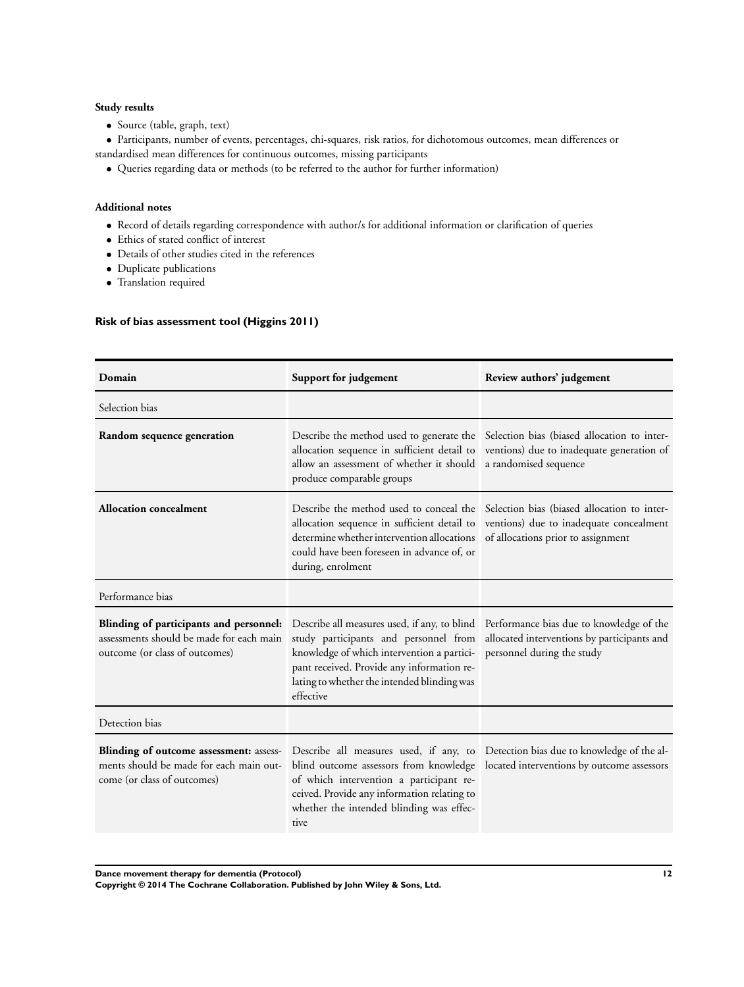## **Study results**

• Source (table, graph, text)

• Participants, number of events, percentages, chi-squares, risk ratios, for dichotomous outcomes, mean differences or standardised mean differences for continuous outcomes, missing participants

• Queries regarding data or methods (to be referred to the author for further information)

## **Additional notes**

- Record of details regarding correspondence with author/s for additional information or clarification of queries
- Ethics of stated conflict of interest
- Details of other studies cited in the references
- Duplicate publications
- Translation required

## **Risk of bias assessment tool (Higgins 2011)**

| Domain                                                                                                            | Support for judgement                                                                                                                                                                                                                                                                                                                 | Review authors' judgement                                                 |  |  |  |  |  |  |  |
|-------------------------------------------------------------------------------------------------------------------|---------------------------------------------------------------------------------------------------------------------------------------------------------------------------------------------------------------------------------------------------------------------------------------------------------------------------------------|---------------------------------------------------------------------------|--|--|--|--|--|--|--|
| Selection bias                                                                                                    |                                                                                                                                                                                                                                                                                                                                       |                                                                           |  |  |  |  |  |  |  |
| Random sequence generation                                                                                        | Describe the method used to generate the Selection bias (biased allocation to inter-<br>allocation sequence in sufficient detail to ventions) due to inadequate generation of<br>allow an assessment of whether it should a randomised sequence<br>produce comparable groups                                                          |                                                                           |  |  |  |  |  |  |  |
| <b>Allocation concealment</b>                                                                                     | Describe the method used to conceal the Selection bias (biased allocation to inter-<br>allocation sequence in sufficient detail to ventions) due to inadequate concealment<br>determine whether intervention allocations of allocations prior to assignment<br>could have been foreseen in advance of, or<br>during, enrolment        |                                                                           |  |  |  |  |  |  |  |
| Performance bias                                                                                                  |                                                                                                                                                                                                                                                                                                                                       |                                                                           |  |  |  |  |  |  |  |
| assessments should be made for each main<br>outcome (or class of outcomes)                                        | <b>Blinding of participants and personnel:</b> Describe all measures used, if any, to blind Performance bias due to knowledge of the<br>study participants and personnel from<br>knowledge of which intervention a partici-<br>pant received. Provide any information re-<br>lating to whether the intended blinding was<br>effective | allocated interventions by participants and<br>personnel during the study |  |  |  |  |  |  |  |
| Detection bias                                                                                                    |                                                                                                                                                                                                                                                                                                                                       |                                                                           |  |  |  |  |  |  |  |
| Blinding of outcome assessment: assess-<br>ments should be made for each main out-<br>come (or class of outcomes) | Describe all measures used, if any, to Detection bias due to knowledge of the al-<br>blind outcome assessors from knowledge<br>of which intervention a participant re-<br>ceived. Provide any information relating to<br>whether the intended blinding was effec-<br>tive                                                             | located interventions by outcome assessors                                |  |  |  |  |  |  |  |

**Dance movement therapy for dementia (Protocol) 12**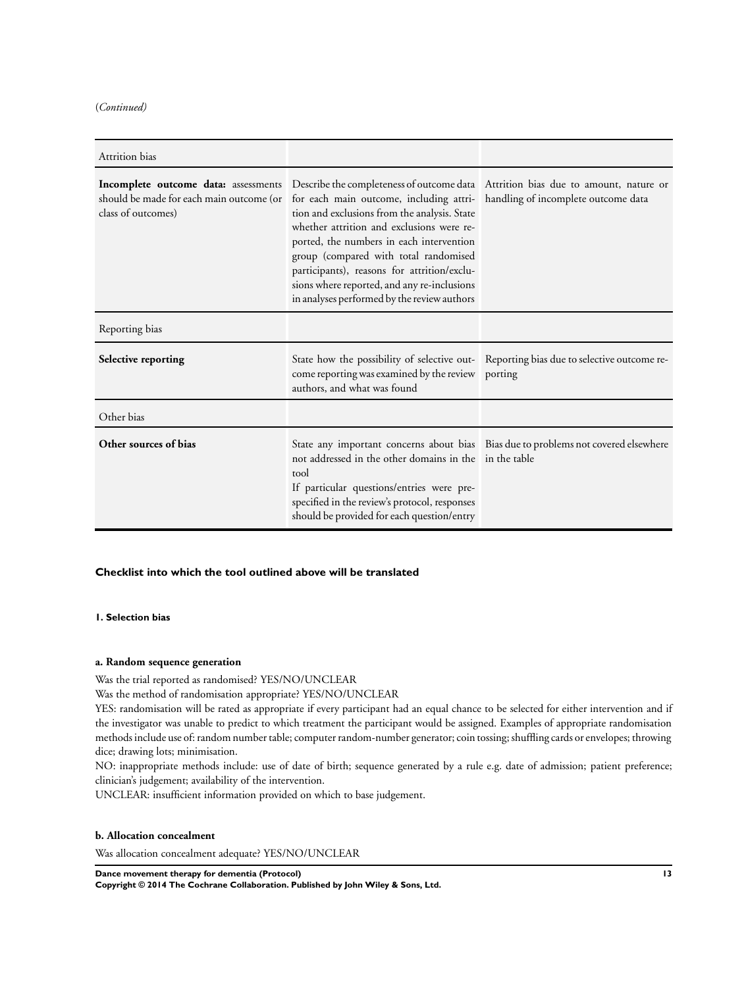(*Continued)*

| Attrition bias                                                                                         |                                                                                                                                                                                                                                                                                                                                                                                                                                                                                                 |                                                                                    |
|--------------------------------------------------------------------------------------------------------|-------------------------------------------------------------------------------------------------------------------------------------------------------------------------------------------------------------------------------------------------------------------------------------------------------------------------------------------------------------------------------------------------------------------------------------------------------------------------------------------------|------------------------------------------------------------------------------------|
| Incomplete outcome data: assessments<br>should be made for each main outcome (or<br>class of outcomes) | Describe the completeness of outcome data Attrition bias due to amount, nature or<br>for each main outcome, including attri- handling of incomplete outcome data<br>tion and exclusions from the analysis. State<br>whether attrition and exclusions were re-<br>ported, the numbers in each intervention<br>group (compared with total randomised<br>participants), reasons for attrition/exclu-<br>sions where reported, and any re-inclusions<br>in analyses performed by the review authors |                                                                                    |
| Reporting bias                                                                                         |                                                                                                                                                                                                                                                                                                                                                                                                                                                                                                 |                                                                                    |
| Selective reporting                                                                                    | State how the possibility of selective out- Reporting bias due to selective outcome re-<br>come reporting was examined by the review porting<br>authors, and what was found                                                                                                                                                                                                                                                                                                                     |                                                                                    |
| Other bias                                                                                             |                                                                                                                                                                                                                                                                                                                                                                                                                                                                                                 |                                                                                    |
| Other sources of bias                                                                                  | not addressed in the other domains in the lin the table<br>tool<br>If particular questions/entries were pre-<br>specified in the review's protocol, responses<br>should be provided for each question/entry                                                                                                                                                                                                                                                                                     | State any important concerns about bias Bias due to problems not covered elsewhere |

## **Checklist into which the tool outlined above will be translated**

## **1. Selection bias**

## **a. Random sequence generation**

Was the trial reported as randomised? YES/NO/UNCLEAR

Was the method of randomisation appropriate? YES/NO/UNCLEAR

YES: randomisation will be rated as appropriate if every participant had an equal chance to be selected for either intervention and if the investigator was unable to predict to which treatment the participant would be assigned. Examples of appropriate randomisation methods include use of: random number table; computer random-number generator; coin tossing; shuffling cards or envelopes; throwing dice; drawing lots; minimisation.

NO: inappropriate methods include: use of date of birth; sequence generated by a rule e.g. date of admission; patient preference; clinician's judgement; availability of the intervention.

UNCLEAR: insufficient information provided on which to base judgement.

## **b. Allocation concealment**

Was allocation concealment adequate? YES/NO/UNCLEAR

**Dance movement therapy for dementia (Protocol) 13**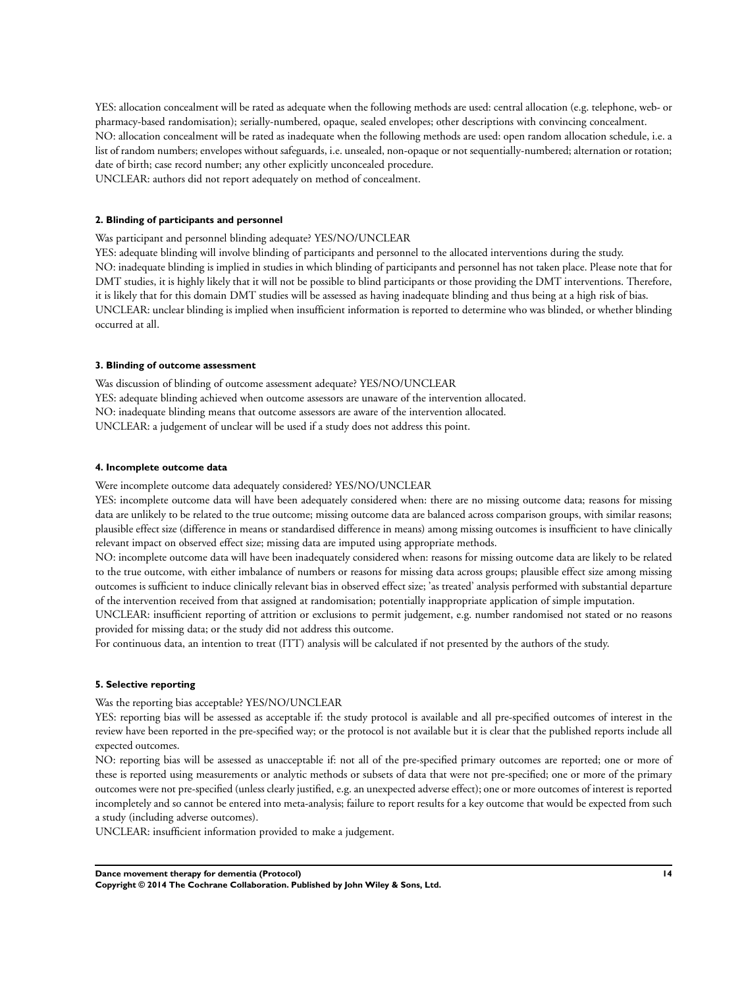YES: allocation concealment will be rated as adequate when the following methods are used: central allocation (e.g. telephone, web- or pharmacy-based randomisation); serially-numbered, opaque, sealed envelopes; other descriptions with convincing concealment. NO: allocation concealment will be rated as inadequate when the following methods are used: open random allocation schedule, i.e. a list of random numbers; envelopes without safeguards, i.e. unsealed, non-opaque or not sequentially-numbered; alternation or rotation; date of birth; case record number; any other explicitly unconcealed procedure. UNCLEAR: authors did not report adequately on method of concealment.

#### **2. Blinding of participants and personnel**

Was participant and personnel blinding adequate? YES/NO/UNCLEAR

YES: adequate blinding will involve blinding of participants and personnel to the allocated interventions during the study. NO: inadequate blinding is implied in studies in which blinding of participants and personnel has not taken place. Please note that for DMT studies, it is highly likely that it will not be possible to blind participants or those providing the DMT interventions. Therefore, it is likely that for this domain DMT studies will be assessed as having inadequate blinding and thus being at a high risk of bias. UNCLEAR: unclear blinding is implied when insufficient information is reported to determine who was blinded, or whether blinding occurred at all.

#### **3. Blinding of outcome assessment**

Was discussion of blinding of outcome assessment adequate? YES/NO/UNCLEAR YES: adequate blinding achieved when outcome assessors are unaware of the intervention allocated. NO: inadequate blinding means that outcome assessors are aware of the intervention allocated. UNCLEAR: a judgement of unclear will be used if a study does not address this point.

## **4. Incomplete outcome data**

Were incomplete outcome data adequately considered? YES/NO/UNCLEAR

YES: incomplete outcome data will have been adequately considered when: there are no missing outcome data; reasons for missing data are unlikely to be related to the true outcome; missing outcome data are balanced across comparison groups, with similar reasons; plausible effect size (difference in means or standardised difference in means) among missing outcomes is insufficient to have clinically relevant impact on observed effect size; missing data are imputed using appropriate methods.

NO: incomplete outcome data will have been inadequately considered when: reasons for missing outcome data are likely to be related to the true outcome, with either imbalance of numbers or reasons for missing data across groups; plausible effect size among missing outcomes is sufficient to induce clinically relevant bias in observed effect size; 'as treated' analysis performed with substantial departure of the intervention received from that assigned at randomisation; potentially inappropriate application of simple imputation.

UNCLEAR: insufficient reporting of attrition or exclusions to permit judgement, e.g. number randomised not stated or no reasons provided for missing data; or the study did not address this outcome.

For continuous data, an intention to treat (ITT) analysis will be calculated if not presented by the authors of the study.

#### **5. Selective reporting**

Was the reporting bias acceptable? YES/NO/UNCLEAR

YES: reporting bias will be assessed as acceptable if: the study protocol is available and all pre-specified outcomes of interest in the review have been reported in the pre-specified way; or the protocol is not available but it is clear that the published reports include all expected outcomes.

NO: reporting bias will be assessed as unacceptable if: not all of the pre-specified primary outcomes are reported; one or more of these is reported using measurements or analytic methods or subsets of data that were not pre-specified; one or more of the primary outcomes were not pre-specified (unless clearly justified, e.g. an unexpected adverse effect); one or more outcomes of interest is reported incompletely and so cannot be entered into meta-analysis; failure to report results for a key outcome that would be expected from such a study (including adverse outcomes).

UNCLEAR: insufficient information provided to make a judgement.

**Dance movement therapy for dementia (Protocol) 14**